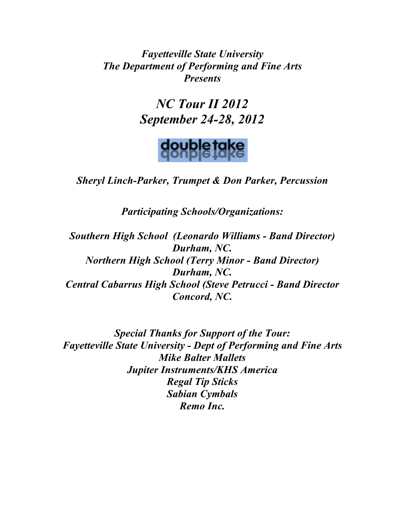*Fayetteville State University The Department of Performing and Fine Arts Presents*

> *NC Tour II 2012 September 24-28, 2012*



*Sheryl Linch-Parker, Trumpet & Don Parker, Percussion*

*Participating Schools/Organizations:*

*Southern High School (Leonardo Williams - Band Director) Durham, NC. Northern High School (Terry Minor - Band Director) Durham, NC. Central Cabarrus High School (Steve Petrucci - Band Director Concord, NC.*

*Special Thanks for Support of the Tour: Fayetteville State University - Dept of Performing and Fine Arts Mike Balter Mallets Jupiter Instruments/KHS America Regal Tip Sticks Sabian Cymbals Remo Inc.*